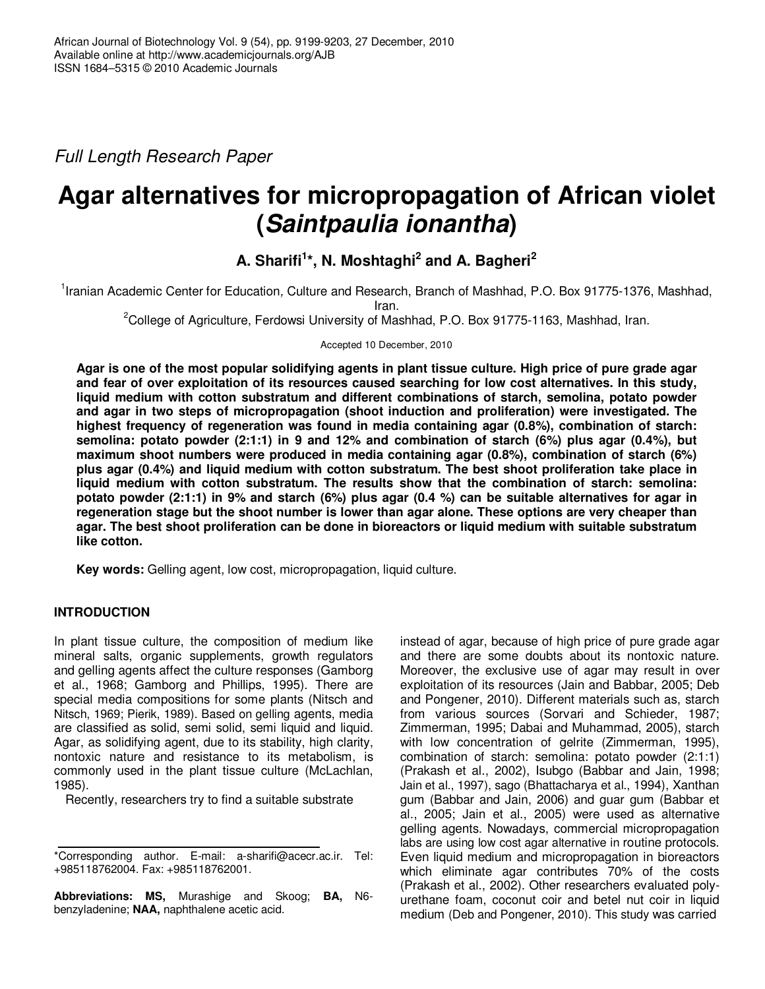*Full Length Research Paper*

# **Agar alternatives for micropropagation of African violet (***Saintpaulia ionantha***)**

**A. Sharifi 1 \*, N. Moshtaghi 2 and A. Bagheri 2**

<sup>1</sup>Iranian Academic Center for Education, Culture and Research, Branch of Mashhad, P.O. Box 91775-1376, Mashhad, Iran.

<sup>2</sup>College of Agriculture, Ferdowsi University of Mashhad, P.O. Box 91775-1163, Mashhad, Iran.

Accepted 10 December, 2010

Agar is one of the most popular solidifying agents in plant tissue culture. High price of pure grade agar **and fear of over exploitation of its resources caused searching for low cost alternatives. In this study, liquid medium with cotton substratum and different combinations of starch, semolina, potato powder and agar in two steps of micropropagation (shoot induction and proliferation) were investigated. The highest frequency of regeneration was found in media containing agar (0.8%), combination of starch: semolina: potato powder (2:1:1) in 9 and 12% and combination of starch (6%) plus agar (0.4%), but maximum shoot numbers were produced in media containing agar (0.8%), combination of starch (6%) plus agar (0.4%) and liquid medium with cotton substratum. The best shoot proliferation take place in liquid medium with cotton substratum. The results show that the combination of starch: semolina:** potato powder (2:1:1) in 9% and starch (6%) plus agar (0.4 %) can be suitable alternatives for agar in **regeneration stage but the shoot number is lower than agar alone. These options are very cheaper than agar. The best shoot proliferation can be done in bioreactors or liquid medium with suitable substratum like cotton.**

**Key words:** Gelling agent, low cost, micropropagation, liquid culture.

## **INTRODUCTION**

In plant tissue culture, the composition of medium like mineral salts, organic supplements, growth regulators and gelling agents affect the culture responses (Gamborg et al., 1968; Gamborg and Phillips, 1995). There are special media compositions for some plants (Nitsch and Nitsch, 1969; Pierik, 1989). Based on gelling agents, media are classified as solid, semi solid, semi liquid and liquid. Agar, as solidifying agent, due to its stability, high clarity, nontoxic nature and resistance to its metabolism, is commonly used in the plant tissue culture (McLachlan, 1985).

Recently, researchers try to find a suitable substrate

**Abbreviations: MS,** Murashige and Skoog; **BA,** N6 benzyladenine; **NAA,** naphthalene acetic acid.

instead of agar, because of high price of pure grade agar and there are some doubts about its nontoxic nature. Moreover, the exclusive use of agar may result in over exploitation of its resources (Jain and Babbar, 2005; Deb and Pongener, 2010). Different materials such as, starch from various sources (Sorvari and Schieder, 1987; Zimmerman, 1995; Dabai and Muhammad, 2005), starch with low concentration of gelrite (Zimmerman, 1995), combination of starch: semolina: potato powder (2:1:1) (Prakash et al., 2002), Isubgo (Babbar and Jain, 1998; Jain et al., 1997), sago (Bhattacharya et al., 1994), Xanthan gum (Babbar and Jain, 2006) and guar gum (Babbar et al., 2005; Jain et al., 2005) were used as alternative gelling agents. Nowadays, commercial micropropagation labs are using low cost agar alternative in routine protocols. Even liquid medium and micropropagation in bioreactors which eliminate agar contributes 70% of the costs (Prakash et al., 2002). Other researchers evaluated polyurethane foam, coconut coir and betel nut coir in liquid medium (Deb and Pongener, 2010). This study was carried

<sup>\*</sup>Corresponding author. E-mail: a-sharifi@acecr.ac.ir. Tel: +985118762004. Fax: +985118762001.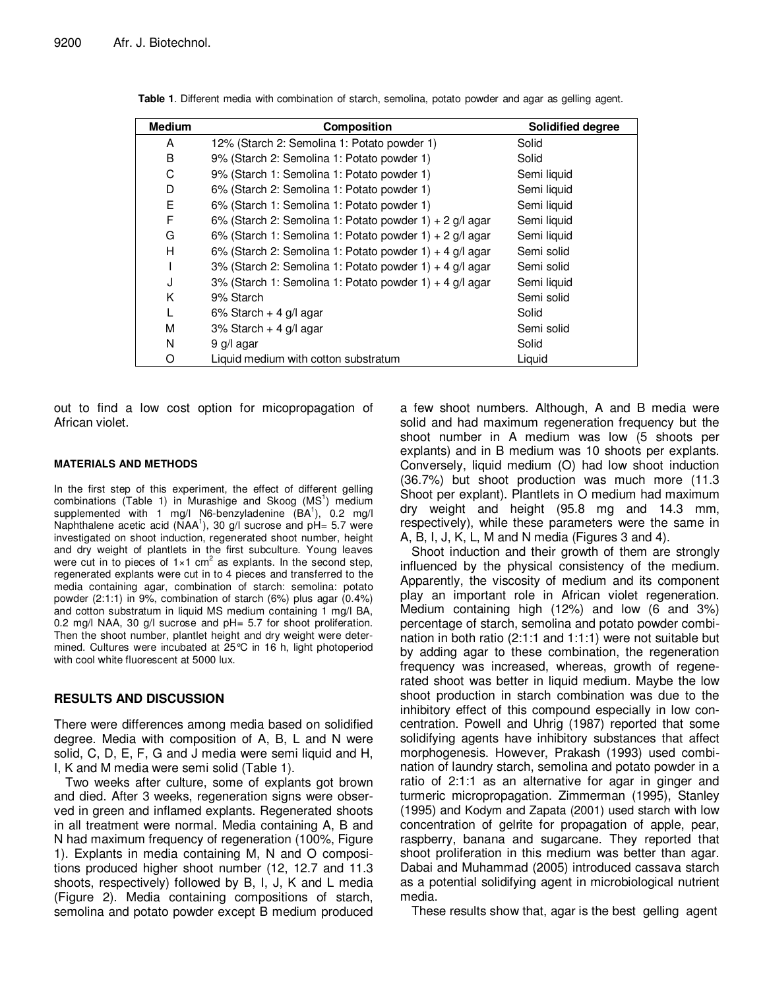| <b>Medium</b> | Composition                                               | <b>Solidified degree</b> |
|---------------|-----------------------------------------------------------|--------------------------|
| A             | 12% (Starch 2: Semolina 1: Potato powder 1)               | Solid                    |
| B             | 9% (Starch 2: Semolina 1: Potato powder 1)                | Solid                    |
| С             | 9% (Starch 1: Semolina 1: Potato powder 1)                | Semi liquid              |
| D             | 6% (Starch 2: Semolina 1: Potato powder 1)                | Semi liquid              |
| E             | 6% (Starch 1: Semolina 1: Potato powder 1)                | Semi liquid              |
| F             | 6% (Starch 2: Semolina 1: Potato powder 1) + 2 $g/l$ agar | Semi liquid              |
| G             | 6% (Starch 1: Semolina 1: Potato powder 1) + 2 $g/l$ agar | Semi liquid              |
| н             | 6% (Starch 2: Semolina 1: Potato powder 1) + 4 g/l agar   | Semi solid               |
|               | 3% (Starch 2: Semolina 1: Potato powder 1) + 4 g/l agar   | Semi solid               |
| J             | 3% (Starch 1: Semolina 1: Potato powder 1) + 4 g/l agar   | Semi liquid              |
| Κ             | 9% Starch                                                 | Semi solid               |
| L             | $6\%$ Starch + 4 g/l agar                                 | Solid                    |
| M             | $3\%$ Starch + 4 g/l agar                                 | Semi solid               |
| N             | 9 g/l agar                                                | Solid                    |
| O             | Liquid medium with cotton substratum                      | Liquid                   |

**Table 1**. Different media with combination of starch, semolina, potato powder and agar as gelling agent.

out to find a low cost option for micopropagation of African violet.

#### **MATERIALS AND METHODS**

In the first step of this experiment, the effect of different gelling combinations (Table 1) in Murashige and Skoog (MS<sup>1</sup>) medium supplemented with 1 mg/l N6-benzyladenine (BA<sup>1</sup>), 0.2 mg/l Naphthalene acetic acid (NAA<sup>1</sup>), 30 g/l sucrose and pH= 5.7 were investigated on shoot induction, regenerated shoot number, height and dry weight of plantlets in the first subculture. Young leaves were cut in to pieces of  $1\times1$  cm<sup>2</sup> as explants. In the second step, regenerated explants were cut in to 4 pieces and transferred to the media containing agar, combination of starch: semolina: potato powder (2:1:1) in 9%, combination of starch (6%) plus agar (0.4%) and cotton substratum in liquid MS medium containing 1 mg/l BA, 0.2 mg/l NAA, 30 g/l sucrose and pH= 5.7 for shoot proliferation. Then the shoot number, plantlet height and dry weight were determined. Cultures were incubated at 25°C in 16 h, light photoperiod with cool white fluorescent at 5000 lux.

### **RESULTS AND DISCUSSION**

There were differences among media based on solidified degree. Media with composition of A, B, L and N were solid, C, D, E, F, G and J media were semi liquid and H, I, K and M media were semi solid (Table 1).

Two weeks after culture, some of explants got brown and died. After 3 weeks, regeneration signs were observed in green and inflamed explants. Regenerated shoots in all treatment were normal. Media containing A, B and N had maximum frequency of regeneration (100%, Figure 1). Explants in media containing M, N and O compositions produced higher shoot number (12, 12.7 and 11.3 shoots, respectively) followed by B, I, J, K and L media (Figure 2). Media containing compositions of starch, semolina and potato powder except B medium produced a few shoot numbers. Although, A and B media were solid and had maximum regeneration frequency but the shoot number in A medium was low (5 shoots per explants) and in B medium was 10 shoots per explants. Conversely, liquid medium (O) had low shoot induction (36.7%) but shoot production was much more (11.3 Shoot per explant). Plantlets in O medium had maximum dry weight and height (95.8 mg and 14.3 mm, respectively), while these parameters were the same in A, B, I, J, K, L, M and N media (Figures 3 and 4).

Shoot induction and their growth of them are strongly influenced by the physical consistency of the medium. Apparently, the viscosity of medium and its component play an important role in African violet regeneration. Medium containing high (12%) and low (6 and 3%) percentage of starch, semolina and potato powder combination in both ratio (2:1:1 and 1:1:1) were not suitable but by adding agar to these combination, the regeneration frequency was increased, whereas, growth of regenerated shoot was better in liquid medium. Maybe the low shoot production in starch combination was due to the inhibitory effect of this compound especially in low concentration. Powell and Uhrig (1987) reported that some solidifying agents have inhibitory substances that affect morphogenesis. However, Prakash (1993) used combination of laundry starch, semolina and potato powder in a ratio of 2:1:1 as an alternative for agar in ginger and turmeric micropropagation. Zimmerman (1995), Stanley (1995) and Kodym and Zapata (2001) used starch with low concentration of gelrite for propagation of apple, pear, raspberry, banana and sugarcane. They reported that shoot proliferation in this medium was better than agar. Dabai and Muhammad (2005) introduced cassava starch as a potential solidifying agent in microbiological nutrient media.

These results show that, agar is the best gelling agent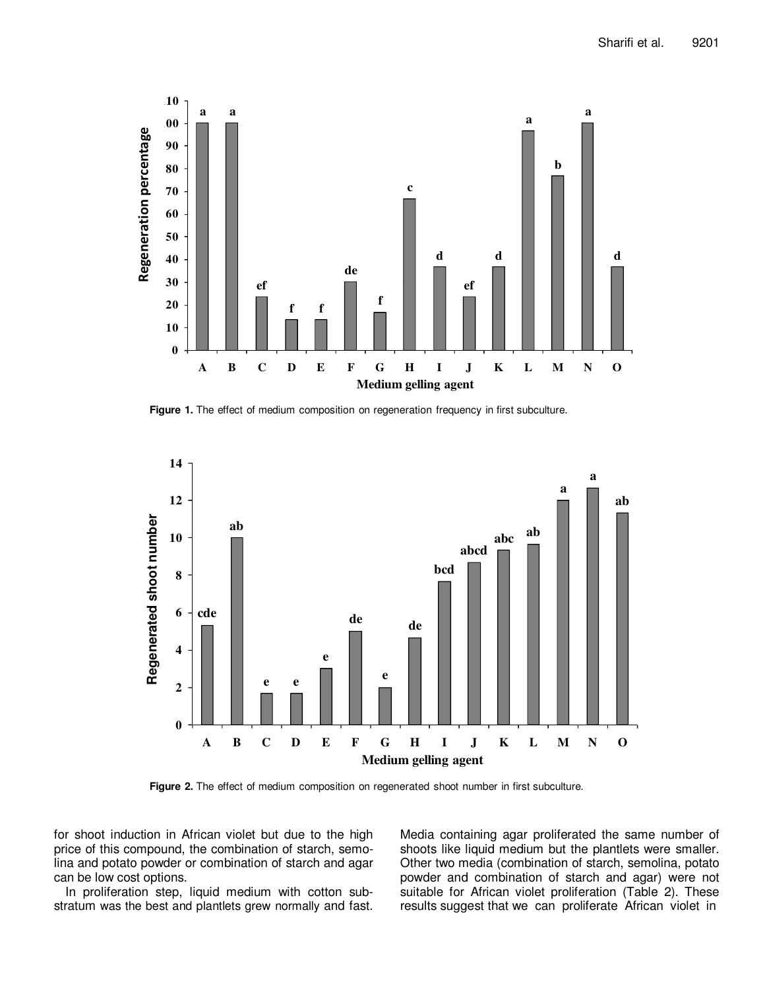

**Figure 1.** The effect of medium composition on regeneration frequency in first subculture.



**Figure 2.** The effect of medium composition on regenerated shoot number in first subculture.

for shoot induction in African violet but due to the high price of this compound, the combination of starch, semolina and potato powder or combination of starch and agar can be low cost options.

In proliferation step, liquid medium with cotton substratum was the best and plantlets grew normally and fast. Media containing agar proliferated the same number of shoots like liquid medium but the plantlets were smaller. Other two media (combination of starch, semolina, potato powder and combination of starch and agar) were not suitable for African violet proliferation (Table 2). These results suggest that we can proliferate African violet in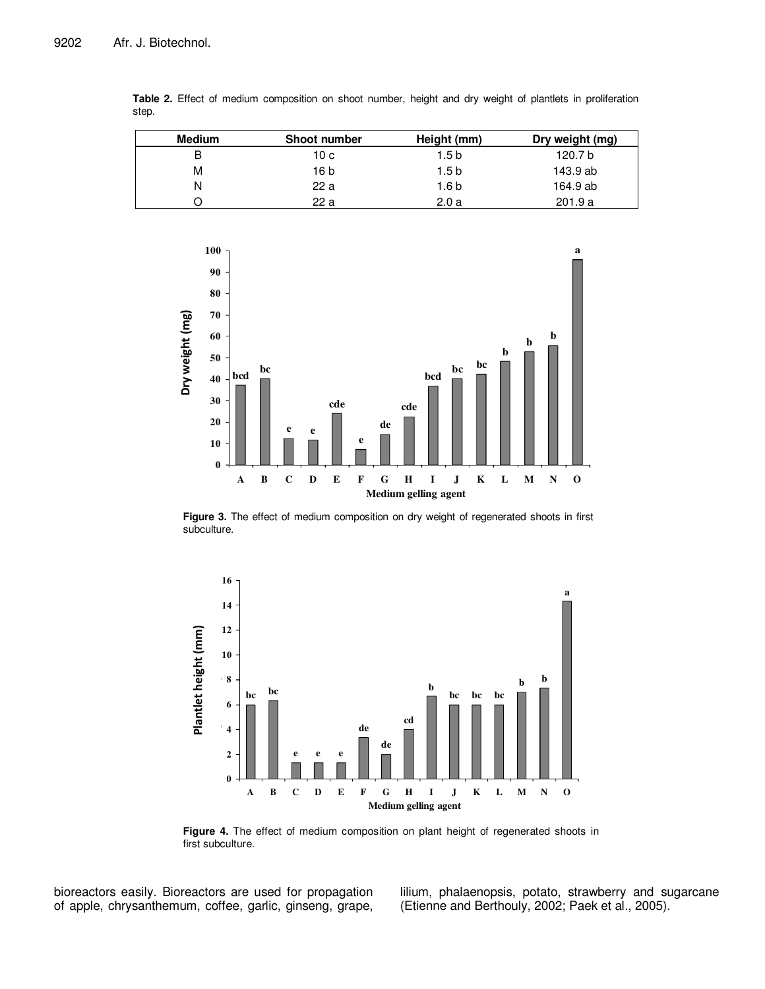| <b>Medium</b> | Shoot number | Height (mm) | Dry weight (mg) |
|---------------|--------------|-------------|-----------------|
|               | 10 с         | 1.5 b       | 120.7 b         |
| М             | 16 b         | 1.5 b       | 143.9 ab        |
| N             | 22 a         | 1.6 b       | 164.9 ab        |
|               | 22 a         | 2.0a        | 201.9a          |





**Figure 3.** The effect of medium composition on dry weight of regenerated shoots in first subculture.



**Figure 4.** The effect of medium composition on plant height of regenerated shoots in first subculture.

bioreactors easily. Bioreactors are used for propagation of apple, chrysanthemum, coffee, garlic, ginseng, grape, lilium, phalaenopsis, potato, strawberry and sugarcane (Etienne and Berthouly, 2002; Paek et al., 2005).